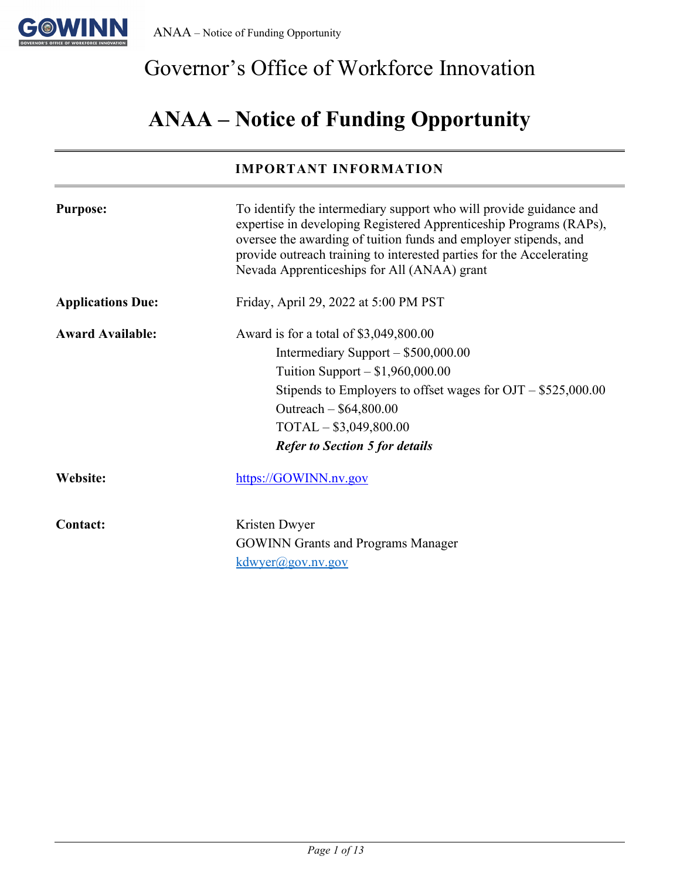

# Governor's Office of Workforce Innovation

# **ANAA – Notice of Funding Opportunity**

### **IMPORTANT INFORMATION**

| <b>Purpose:</b>          | To identify the intermediary support who will provide guidance and<br>expertise in developing Registered Apprenticeship Programs (RAPs),<br>oversee the awarding of tuition funds and employer stipends, and<br>provide outreach training to interested parties for the Accelerating<br>Nevada Apprenticeships for All (ANAA) grant |
|--------------------------|-------------------------------------------------------------------------------------------------------------------------------------------------------------------------------------------------------------------------------------------------------------------------------------------------------------------------------------|
| <b>Applications Due:</b> | Friday, April 29, 2022 at 5:00 PM PST                                                                                                                                                                                                                                                                                               |
| <b>Award Available:</b>  | Award is for a total of $$3,049,800.00$<br>Intermediary Support $-$ \$500,000.00<br>Tuition Support $- $1,960,000.00$<br>Stipends to Employers to offset wages for $OJT - $525,000.00$<br>Outreach $-$ \$64,800.00<br>$TOTAL-$ \$3,049,800.00<br><b>Refer to Section 5 for details</b>                                              |
| Website:                 | https://GOWINN.nv.gov                                                                                                                                                                                                                                                                                                               |
| Contact:                 | Kristen Dwyer<br><b>GOWINN</b> Grants and Programs Manager<br>kdwver@gov.nv.gov                                                                                                                                                                                                                                                     |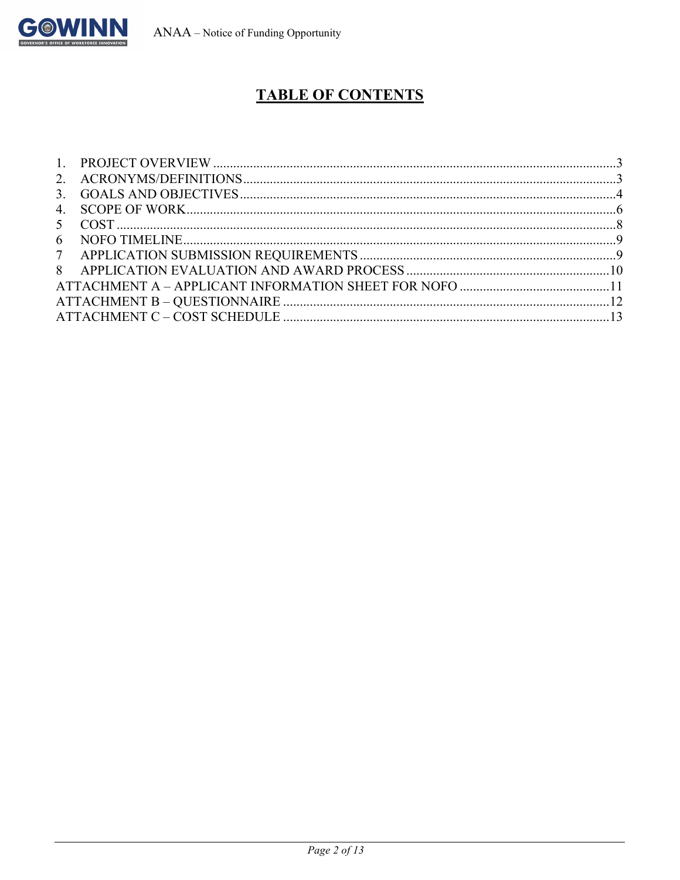

## **TABLE OF CONTENTS**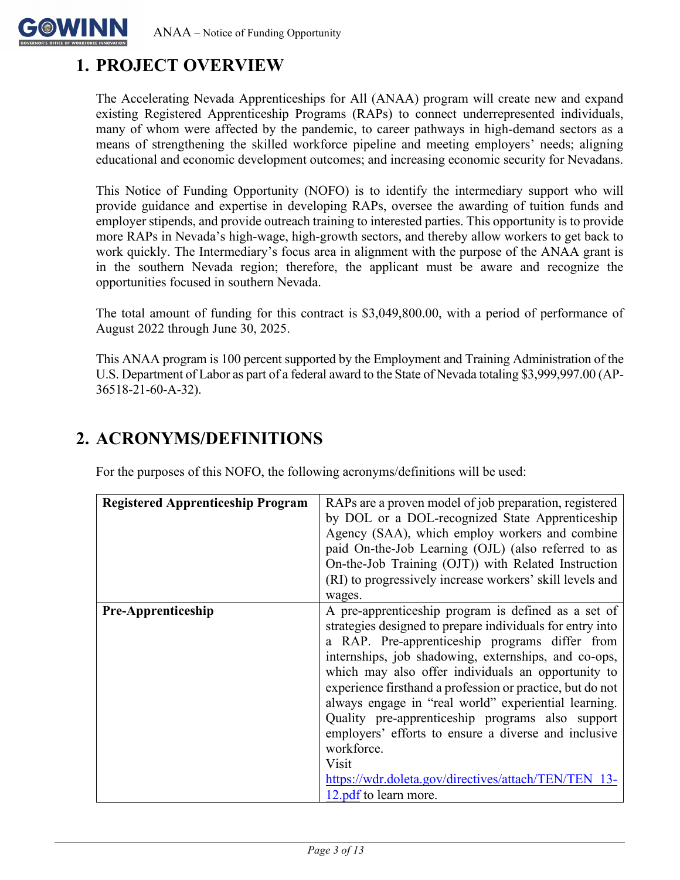

## <span id="page-2-0"></span>**1. PROJECT OVERVIEW**

The Accelerating Nevada Apprenticeships for All (ANAA) program will create new and expand existing Registered Apprenticeship Programs (RAPs) to connect underrepresented individuals, many of whom were affected by the pandemic, to career pathways in high-demand sectors as a means of strengthening the skilled workforce pipeline and meeting employers' needs; aligning educational and economic development outcomes; and increasing economic security for Nevadans.

This Notice of Funding Opportunity (NOFO) is to identify the intermediary support who will provide guidance and expertise in developing RAPs, oversee the awarding of tuition funds and employer stipends, and provide outreach training to interested parties. This opportunity is to provide more RAPs in Nevada's high-wage, high-growth sectors, and thereby allow workers to get back to work quickly. The Intermediary's focus area in alignment with the purpose of the ANAA grant is in the southern Nevada region; therefore, the applicant must be aware and recognize the opportunities focused in southern Nevada.

The total amount of funding for this contract is \$3,049,800.00, with a period of performance of August 2022 through June 30, 2025.

This ANAA program is 100 percent supported by the Employment and Training Administration of the U.S. Department of Labor as part of a federal award to the State of Nevada totaling \$3,999,997.00 (AP-36518-21-60-A-32).

| <b>Registered Apprenticeship Program</b> | RAPs are a proven model of job preparation, registered<br>by DOL or a DOL-recognized State Apprenticeship<br>Agency (SAA), which employ workers and combine<br>paid On-the-Job Learning (OJL) (also referred to as<br>On-the-Job Training (OJT)) with Related Instruction<br>(RI) to progressively increase workers' skill levels and<br>wages.                                                                                                                                                                                                                                                                           |
|------------------------------------------|---------------------------------------------------------------------------------------------------------------------------------------------------------------------------------------------------------------------------------------------------------------------------------------------------------------------------------------------------------------------------------------------------------------------------------------------------------------------------------------------------------------------------------------------------------------------------------------------------------------------------|
| <b>Pre-Apprenticeship</b>                | A pre-apprenticeship program is defined as a set of<br>strategies designed to prepare individuals for entry into<br>a RAP. Pre-apprenticeship programs differ from<br>internships, job shadowing, externships, and co-ops,<br>which may also offer individuals an opportunity to<br>experience firsthand a profession or practice, but do not<br>always engage in "real world" experiential learning.<br>Quality pre-apprenticeship programs also support<br>employers' efforts to ensure a diverse and inclusive<br>workforce.<br>Visit<br>https://wdr.doleta.gov/directives/attach/TEN/TEN 13-<br>12.pdf to learn more. |

## <span id="page-2-1"></span>**2. ACRONYMS/DEFINITIONS**

For the purposes of this NOFO, the following acronyms/definitions will be used: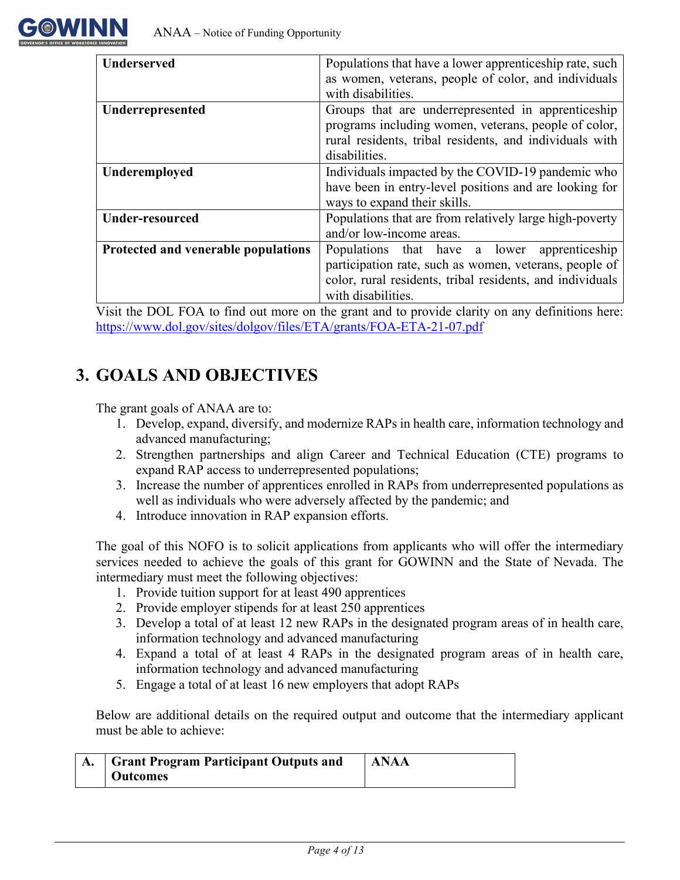

| <b>Underserved</b>                  | Populations that have a lower apprenticeship rate, such   |  |  |
|-------------------------------------|-----------------------------------------------------------|--|--|
|                                     | as women, veterans, people of color, and individuals      |  |  |
|                                     | with disabilities.                                        |  |  |
| Underrepresented                    | Groups that are underrepresented in apprenticeship        |  |  |
|                                     | programs including women, veterans, people of color,      |  |  |
|                                     | rural residents, tribal residents, and individuals with   |  |  |
|                                     | disabilities.                                             |  |  |
| Underemployed                       | Individuals impacted by the COVID-19 pandemic who         |  |  |
|                                     | have been in entry-level positions and are looking for    |  |  |
|                                     | ways to expand their skills.                              |  |  |
| <b>Under-resourced</b>              | Populations that are from relatively large high-poverty   |  |  |
|                                     | and/or low-income areas.                                  |  |  |
| Protected and venerable populations | Populations that have a lower<br>apprenticeship           |  |  |
|                                     | participation rate, such as women, veterans, people of    |  |  |
|                                     | color, rural residents, tribal residents, and individuals |  |  |
|                                     | with disabilities.                                        |  |  |

Visit the DOL FOA to find out more on the grant and to provide clarity on any definitions here: <https://www.dol.gov/sites/dolgov/files/ETA/grants/FOA-ETA-21-07.pdf>

### <span id="page-3-0"></span>**3. GOALS AND OBJECTIVES**

The grant goals of ANAA are to:

- 1. Develop, expand, diversify, and modernize RAPs in health care, information technology and advanced manufacturing;
- 2. Strengthen partnerships and align Career and Technical Education (CTE) programs to expand RAP access to underrepresented populations;
- 3. Increase the number of apprentices enrolled in RAPs from underrepresented populations as well as individuals who were adversely affected by the pandemic; and
- 4. Introduce innovation in RAP expansion efforts.

The goal of this NOFO is to solicit applications from applicants who will offer the intermediary services needed to achieve the goals of this grant for GOWINN and the State of Nevada. The intermediary must meet the following objectives:

- 1. Provide tuition support for at least 490 apprentices
- 2. Provide employer stipends for at least 250 apprentices
- 3. Develop a total of at least 12 new RAPs in the designated program areas of in health care, information technology and advanced manufacturing
- 4. Expand a total of at least 4 RAPs in the designated program areas of in health care, information technology and advanced manufacturing
- 5. Engage a total of at least 16 new employers that adopt RAPs

Below are additional details on the required output and outcome that the intermediary applicant must be able to achieve:

| <b>Grant Program Participant Outputs and</b> | <b>LANAA</b> |
|----------------------------------------------|--------------|
| Outcomes                                     |              |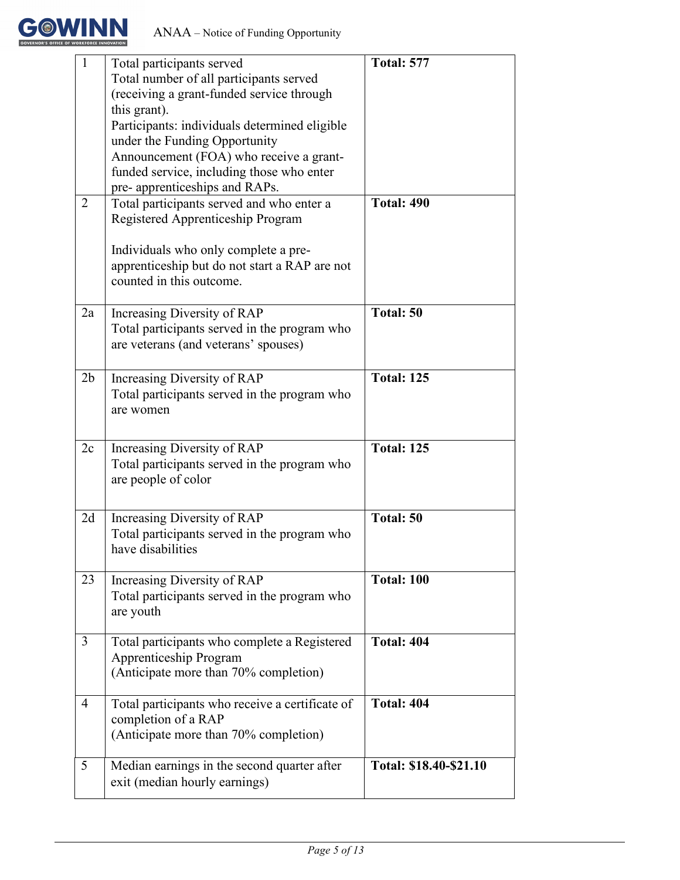

| $\mathbf{1}$   | Total participants served                       | <b>Total: 577</b>      |
|----------------|-------------------------------------------------|------------------------|
|                | Total number of all participants served         |                        |
|                | (receiving a grant-funded service through       |                        |
|                | this grant).                                    |                        |
|                | Participants: individuals determined eligible   |                        |
|                | under the Funding Opportunity                   |                        |
|                | Announcement (FOA) who receive a grant-         |                        |
|                | funded service, including those who enter       |                        |
|                |                                                 |                        |
|                | pre- apprenticeships and RAPs.                  | <b>Total: 490</b>      |
| 2              | Total participants served and who enter a       |                        |
|                | Registered Apprenticeship Program               |                        |
|                |                                                 |                        |
|                | Individuals who only complete a pre-            |                        |
|                | apprenticeship but do not start a RAP are not   |                        |
|                | counted in this outcome.                        |                        |
|                |                                                 |                        |
| 2a             | Increasing Diversity of RAP                     | Total: 50              |
|                | Total participants served in the program who    |                        |
|                | are veterans (and veterans' spouses)            |                        |
|                |                                                 |                        |
| 2 <sub>b</sub> | Increasing Diversity of RAP                     | <b>Total: 125</b>      |
|                | Total participants served in the program who    |                        |
|                | are women                                       |                        |
|                |                                                 |                        |
| 2c             | Increasing Diversity of RAP                     | <b>Total: 125</b>      |
|                | Total participants served in the program who    |                        |
|                | are people of color                             |                        |
|                |                                                 |                        |
|                |                                                 |                        |
| 2d             | Increasing Diversity of RAP                     | Total: 50              |
|                | Total participants served in the program who    |                        |
|                | have disabilities                               |                        |
|                |                                                 |                        |
| 23             | Increasing Diversity of RAP                     | <b>Total: 100</b>      |
|                | Total participants served in the program who    |                        |
|                | are youth                                       |                        |
|                |                                                 |                        |
| 3              | Total participants who complete a Registered    | <b>Total: 404</b>      |
|                | Apprenticeship Program                          |                        |
|                | (Anticipate more than 70% completion)           |                        |
|                |                                                 |                        |
| 4              | Total participants who receive a certificate of | <b>Total: 404</b>      |
|                | completion of a RAP                             |                        |
|                | (Anticipate more than 70% completion)           |                        |
|                |                                                 |                        |
| 5              | Median earnings in the second quarter after     | Total: \$18.40-\$21.10 |
|                | exit (median hourly earnings)                   |                        |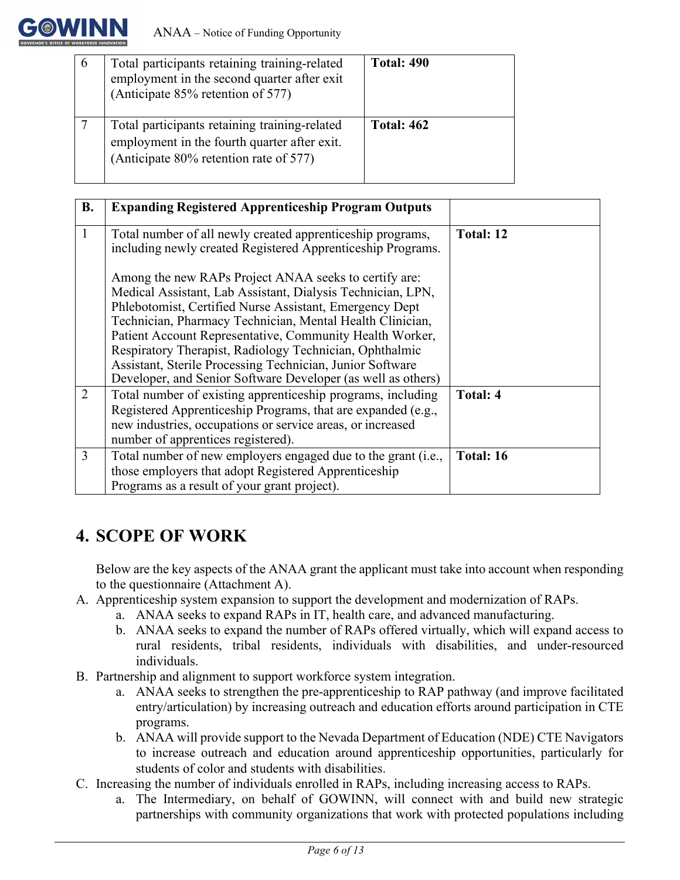

| Total participants retaining training-related<br>employment in the second quarter after exit<br>(Anticipate 85% retention of 577)       | <b>Total: 490</b> |
|-----------------------------------------------------------------------------------------------------------------------------------------|-------------------|
| Total participants retaining training-related<br>employment in the fourth quarter after exit.<br>(Anticipate 80% retention rate of 577) | <b>Total: 462</b> |

| <b>B.</b> | <b>Expanding Registered Apprenticeship Program Outputs</b>                                                                                                                                                                                                                                                                                                                                                                                                                                       |                 |
|-----------|--------------------------------------------------------------------------------------------------------------------------------------------------------------------------------------------------------------------------------------------------------------------------------------------------------------------------------------------------------------------------------------------------------------------------------------------------------------------------------------------------|-----------------|
| 1         | Total number of all newly created apprenticeship programs,<br>including newly created Registered Apprenticeship Programs.                                                                                                                                                                                                                                                                                                                                                                        | Total: 12       |
|           | Among the new RAPs Project ANAA seeks to certify are:<br>Medical Assistant, Lab Assistant, Dialysis Technician, LPN,<br>Phlebotomist, Certified Nurse Assistant, Emergency Dept<br>Technician, Pharmacy Technician, Mental Health Clinician,<br>Patient Account Representative, Community Health Worker,<br>Respiratory Therapist, Radiology Technician, Ophthalmic<br>Assistant, Sterile Processing Technician, Junior Software<br>Developer, and Senior Software Developer (as well as others) |                 |
| 2         | Total number of existing apprenticeship programs, including<br>Registered Apprenticeship Programs, that are expanded (e.g.,<br>new industries, occupations or service areas, or increased<br>number of apprentices registered).                                                                                                                                                                                                                                                                  | <b>Total: 4</b> |
| 3         | Total number of new employers engaged due to the grant (i.e.,<br>those employers that adopt Registered Apprenticeship<br>Programs as a result of your grant project).                                                                                                                                                                                                                                                                                                                            | Total: 16       |

## <span id="page-5-0"></span>**4. SCOPE OF WORK**

Below are the key aspects of the ANAA grant the applicant must take into account when responding to the questionnaire (Attachment A).

- A. Apprenticeship system expansion to support the development and modernization of RAPs.
	- a. ANAA seeks to expand RAPs in IT, health care, and advanced manufacturing.
	- b. ANAA seeks to expand the number of RAPs offered virtually, which will expand access to rural residents, tribal residents, individuals with disabilities, and under-resourced individuals.
- B. Partnership and alignment to support workforce system integration.
	- a. ANAA seeks to strengthen the pre-apprenticeship to RAP pathway (and improve facilitated entry/articulation) by increasing outreach and education efforts around participation in CTE programs.
	- b. ANAA will provide support to the Nevada Department of Education (NDE) CTE Navigators to increase outreach and education around apprenticeship opportunities, particularly for students of color and students with disabilities.
- C. Increasing the number of individuals enrolled in RAPs, including increasing access to RAPs.
	- a. The Intermediary, on behalf of GOWINN, will connect with and build new strategic partnerships with community organizations that work with protected populations including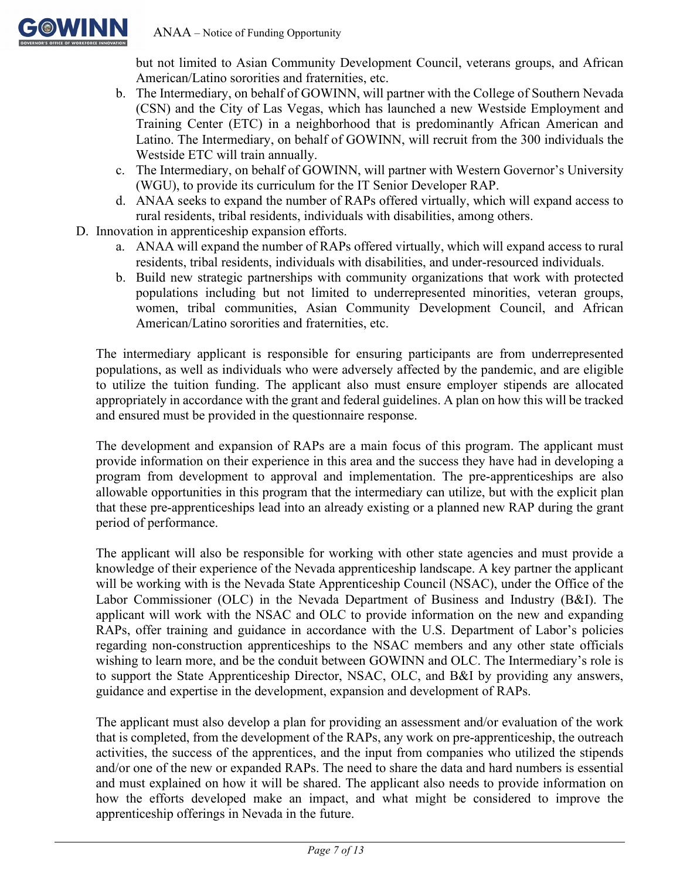

but not limited to Asian Community Development Council, veterans groups, and African American/Latino sororities and fraternities, etc.

- b. The Intermediary, on behalf of GOWINN, will partner with the College of Southern Nevada (CSN) and the City of Las Vegas, which has launched a new Westside Employment and Training Center (ETC) in a neighborhood that is predominantly African American and Latino. The Intermediary, on behalf of GOWINN, will recruit from the 300 individuals the Westside ETC will train annually.
- c. The Intermediary, on behalf of GOWINN, will partner with Western Governor's University (WGU), to provide its curriculum for the IT Senior Developer RAP.
- d. ANAA seeks to expand the number of RAPs offered virtually, which will expand access to rural residents, tribal residents, individuals with disabilities, among others.
- D. Innovation in apprenticeship expansion efforts.
	- a. ANAA will expand the number of RAPs offered virtually, which will expand access to rural residents, tribal residents, individuals with disabilities, and under-resourced individuals.
	- b. Build new strategic partnerships with community organizations that work with protected populations including but not limited to underrepresented minorities, veteran groups, women, tribal communities, Asian Community Development Council, and African American/Latino sororities and fraternities, etc.

The intermediary applicant is responsible for ensuring participants are from underrepresented populations, as well as individuals who were adversely affected by the pandemic, and are eligible to utilize the tuition funding. The applicant also must ensure employer stipends are allocated appropriately in accordance with the grant and federal guidelines. A plan on how this will be tracked and ensured must be provided in the questionnaire response.

The development and expansion of RAPs are a main focus of this program. The applicant must provide information on their experience in this area and the success they have had in developing a program from development to approval and implementation. The pre-apprenticeships are also allowable opportunities in this program that the intermediary can utilize, but with the explicit plan that these pre-apprenticeships lead into an already existing or a planned new RAP during the grant period of performance.

The applicant will also be responsible for working with other state agencies and must provide a knowledge of their experience of the Nevada apprenticeship landscape. A key partner the applicant will be working with is the Nevada State Apprenticeship Council (NSAC), under the Office of the Labor Commissioner (OLC) in the Nevada Department of Business and Industry (B&I). The applicant will work with the NSAC and OLC to provide information on the new and expanding RAPs, offer training and guidance in accordance with the U.S. Department of Labor's policies regarding non-construction apprenticeships to the NSAC members and any other state officials wishing to learn more, and be the conduit between GOWINN and OLC. The Intermediary's role is to support the State Apprenticeship Director, NSAC, OLC, and B&I by providing any answers, guidance and expertise in the development, expansion and development of RAPs.

The applicant must also develop a plan for providing an assessment and/or evaluation of the work that is completed, from the development of the RAPs, any work on pre-apprenticeship, the outreach activities, the success of the apprentices, and the input from companies who utilized the stipends and/or one of the new or expanded RAPs. The need to share the data and hard numbers is essential and must explained on how it will be shared. The applicant also needs to provide information on how the efforts developed make an impact, and what might be considered to improve the apprenticeship offerings in Nevada in the future.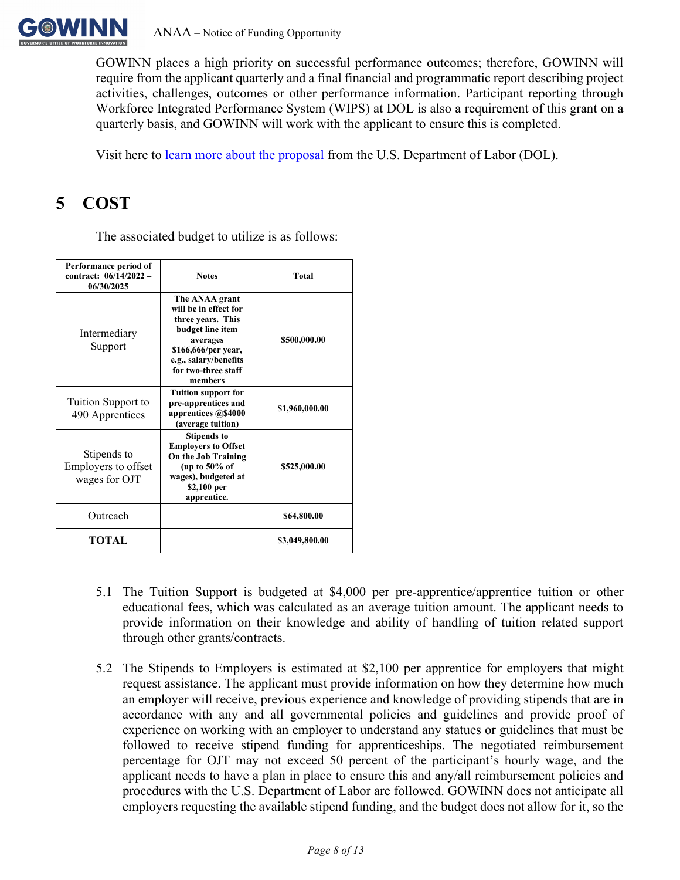

GOWINN places a high priority on successful performance outcomes; therefore, GOWINN will require from the applicant quarterly and a final financial and programmatic report describing project activities, challenges, outcomes or other performance information. Participant reporting through Workforce Integrated Performance System (WIPS) at DOL is also a requirement of this grant on a quarterly basis, and GOWINN will work with the applicant to ensure this is completed.

Visit here to [learn more about the proposal](https://www.dol.gov/newsroom/releases/eta/eta20210622) from the U.S. Department of Labor (DOL).

## <span id="page-7-0"></span>**5 COST**

The associated budget to utilize is as follows:

| Performance period of<br>contract: 06/14/2022 -<br>06/30/2025 | <b>Total</b><br><b>Notes</b>                                                                                                                                                   |                |
|---------------------------------------------------------------|--------------------------------------------------------------------------------------------------------------------------------------------------------------------------------|----------------|
| Intermediary<br>Support                                       | The ANAA grant<br>will be in effect for<br>three years. This<br>budget line item<br>averages<br>\$166,666/per year,<br>e.g., salary/benefits<br>for two-three staff<br>members | \$500,000.00   |
| Tuition Support to<br>490 Apprentices                         | <b>Tuition support for</b><br>pre-apprentices and<br>apprentices @\$4000<br>(average tuition)                                                                                  | \$1,960,000.00 |
| Stipends to<br>Employers to offset<br>wages for OJT           | <b>Stipends to</b><br><b>Employers to Offset</b><br>On the Job Training<br>(up to $50\%$ of<br>wages), budgeted at<br>\$2,100 per<br>apprentice.                               | \$525,000.00   |
| Outreach                                                      |                                                                                                                                                                                | \$64,800.00    |
| TOTAL                                                         |                                                                                                                                                                                | \$3,049,800.00 |

- 5.1 The Tuition Support is budgeted at \$4,000 per pre-apprentice/apprentice tuition or other educational fees, which was calculated as an average tuition amount. The applicant needs to provide information on their knowledge and ability of handling of tuition related support through other grants/contracts.
- 5.2 The Stipends to Employers is estimated at \$2,100 per apprentice for employers that might request assistance. The applicant must provide information on how they determine how much an employer will receive, previous experience and knowledge of providing stipends that are in accordance with any and all governmental policies and guidelines and provide proof of experience on working with an employer to understand any statues or guidelines that must be followed to receive stipend funding for apprenticeships. The negotiated reimbursement percentage for OJT may not exceed 50 percent of the participant's hourly wage, and the applicant needs to have a plan in place to ensure this and any/all reimbursement policies and procedures with the U.S. Department of Labor are followed. GOWINN does not anticipate all employers requesting the available stipend funding, and the budget does not allow for it, so the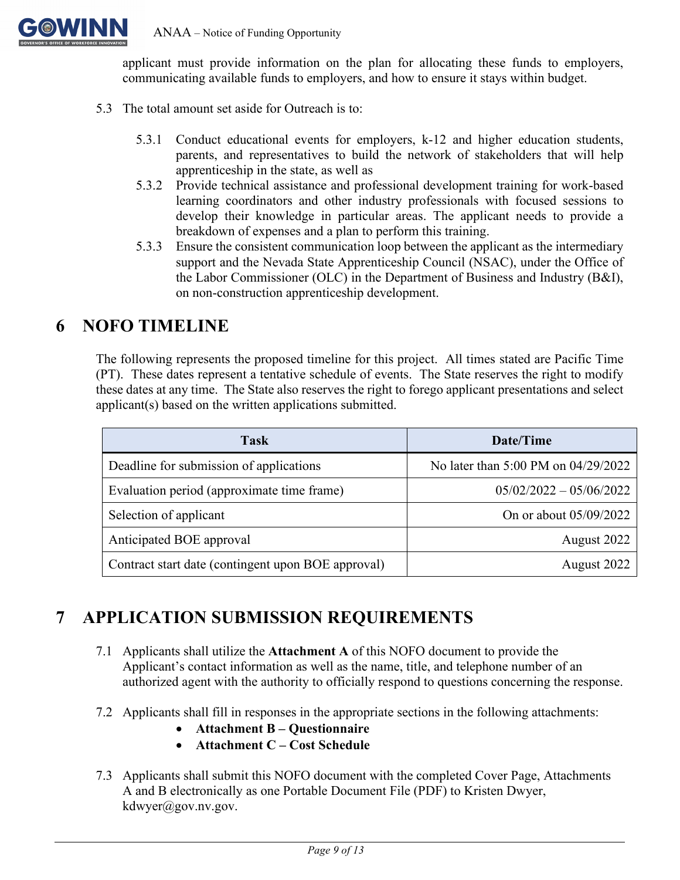

ANAA – Notice of Funding Opportunity

applicant must provide information on the plan for allocating these funds to employers, communicating available funds to employers, and how to ensure it stays within budget.

- 5.3 The total amount set aside for Outreach is to:
	- 5.3.1 Conduct educational events for employers, k-12 and higher education students, parents, and representatives to build the network of stakeholders that will help apprenticeship in the state, as well as
	- 5.3.2 Provide technical assistance and professional development training for work-based learning coordinators and other industry professionals with focused sessions to develop their knowledge in particular areas. The applicant needs to provide a breakdown of expenses and a plan to perform this training.
	- 5.3.3 Ensure the consistent communication loop between the applicant as the intermediary support and the Nevada State Apprenticeship Council (NSAC), under the Office of the Labor Commissioner (OLC) in the Department of Business and Industry (B&I), on non-construction apprenticeship development.

### <span id="page-8-0"></span>**6 NOFO TIMELINE**

The following represents the proposed timeline for this project. All times stated are Pacific Time (PT). These dates represent a tentative schedule of events. The State reserves the right to modify these dates at any time. The State also reserves the right to forego applicant presentations and select applicant(s) based on the written applications submitted.

| <b>Task</b>                                        | Date/Time                           |
|----------------------------------------------------|-------------------------------------|
| Deadline for submission of applications            | No later than 5:00 PM on 04/29/2022 |
| Evaluation period (approximate time frame)         | $05/02/2022 - 05/06/2022$           |
| Selection of applicant                             | On or about 05/09/2022              |
| Anticipated BOE approval                           | August 2022                         |
| Contract start date (contingent upon BOE approval) | August 2022                         |

## <span id="page-8-1"></span>**7 APPLICATION SUBMISSION REQUIREMENTS**

- 7.1 Applicants shall utilize the **Attachment A** of this NOFO document to provide the Applicant's contact information as well as the name, title, and telephone number of an authorized agent with the authority to officially respond to questions concerning the response.
- 7.2 Applicants shall fill in responses in the appropriate sections in the following attachments:
	- **Attachment B Questionnaire**
	- **Attachment C Cost Schedule**
- 7.3 Applicants shall submit this NOFO document with the completed Cover Page, Attachments A and B electronically as one Portable Document File (PDF) to Kristen Dwyer, kdwyer@gov.nv.gov.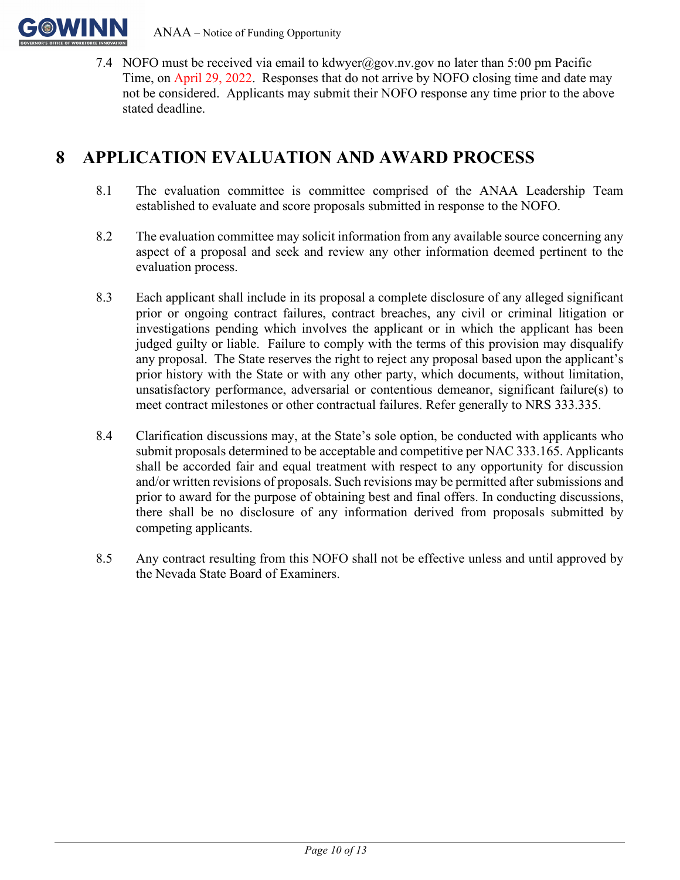

7.4 NOFO must be received via email to [kdwyer@gov.nv.gov](mailto:kdwyer@gov.nv.gov) no later than 5:00 pm Pacific Time, on April 29, 2022. Responses that do not arrive by NOFO closing time and date may not be considered. Applicants may submit their NOFO response any time prior to the above stated deadline.

## <span id="page-9-0"></span>**8 APPLICATION EVALUATION AND AWARD PROCESS**

- 8.1 The evaluation committee is committee comprised of the ANAA Leadership Team established to evaluate and score proposals submitted in response to the NOFO.
- 8.2 The evaluation committee may solicit information from any available source concerning any aspect of a proposal and seek and review any other information deemed pertinent to the evaluation process.
- 8.3 Each applicant shall include in its proposal a complete disclosure of any alleged significant prior or ongoing contract failures, contract breaches, any civil or criminal litigation or investigations pending which involves the applicant or in which the applicant has been judged guilty or liable. Failure to comply with the terms of this provision may disqualify any proposal. The State reserves the right to reject any proposal based upon the applicant's prior history with the State or with any other party, which documents, without limitation, unsatisfactory performance, adversarial or contentious demeanor, significant failure(s) to meet contract milestones or other contractual failures. Refer generally to NRS 333.335.
- 8.4 Clarification discussions may, at the State's sole option, be conducted with applicants who submit proposals determined to be acceptable and competitive per NAC 333.165. Applicants shall be accorded fair and equal treatment with respect to any opportunity for discussion and/or written revisions of proposals. Such revisions may be permitted after submissions and prior to award for the purpose of obtaining best and final offers. In conducting discussions, there shall be no disclosure of any information derived from proposals submitted by competing applicants.
- 8.5 Any contract resulting from this NOFO shall not be effective unless and until approved by the Nevada State Board of Examiners.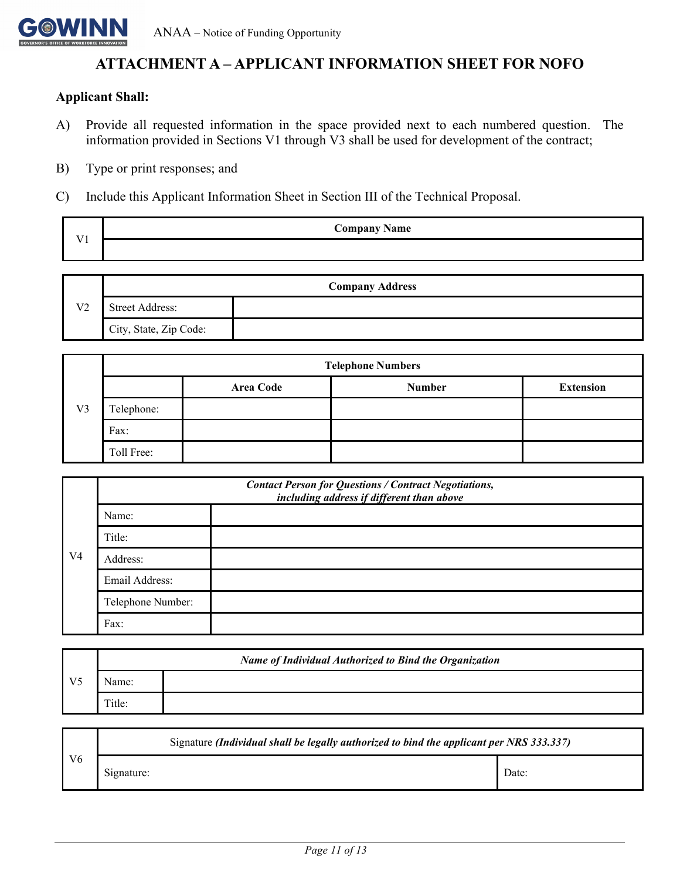

### **ATTACHMENT A – APPLICANT INFORMATION SHEET FOR NOFO**

#### <span id="page-10-0"></span>**Applicant Shall:**

- A) Provide all requested information in the space provided next to each numbered question. The information provided in Sections V1 through V3 shall be used for development of the contract;
- B) Type or print responses; and
- C) Include this Applicant Information Sheet in Section III of the Technical Proposal.

| $T$ $T$ 1 | <b>Company Name</b> |  |
|-----------|---------------------|--|
|           |                     |  |



|                |            |                  | <b>Telephone Numbers</b> |                  |
|----------------|------------|------------------|--------------------------|------------------|
|                |            | <b>Area Code</b> | <b>Number</b>            | <b>Extension</b> |
| V <sub>3</sub> | Telephone: |                  |                          |                  |
|                | Fax:       |                  |                          |                  |
|                | Toll Free: |                  |                          |                  |

|                | <b>Contact Person for Questions / Contract Negotiations,</b><br>including address if different than above |  |  |
|----------------|-----------------------------------------------------------------------------------------------------------|--|--|
| V <sub>4</sub> | Name:                                                                                                     |  |  |
|                | Title:                                                                                                    |  |  |
|                | Address:                                                                                                  |  |  |
|                | Email Address:                                                                                            |  |  |
|                | Telephone Number:                                                                                         |  |  |
|                | Fax:                                                                                                      |  |  |

|                | <b>Name of Individual Authorized to Bind the Organization</b> |  |  |
|----------------|---------------------------------------------------------------|--|--|
| V <sub>5</sub> | Name:                                                         |  |  |
|                | Title:                                                        |  |  |

| V <sub>6</sub> | Signature (Individual shall be legally authorized to bind the applicant per NRS 333.337) |       |  |  |
|----------------|------------------------------------------------------------------------------------------|-------|--|--|
|                | Signature:                                                                               | Date: |  |  |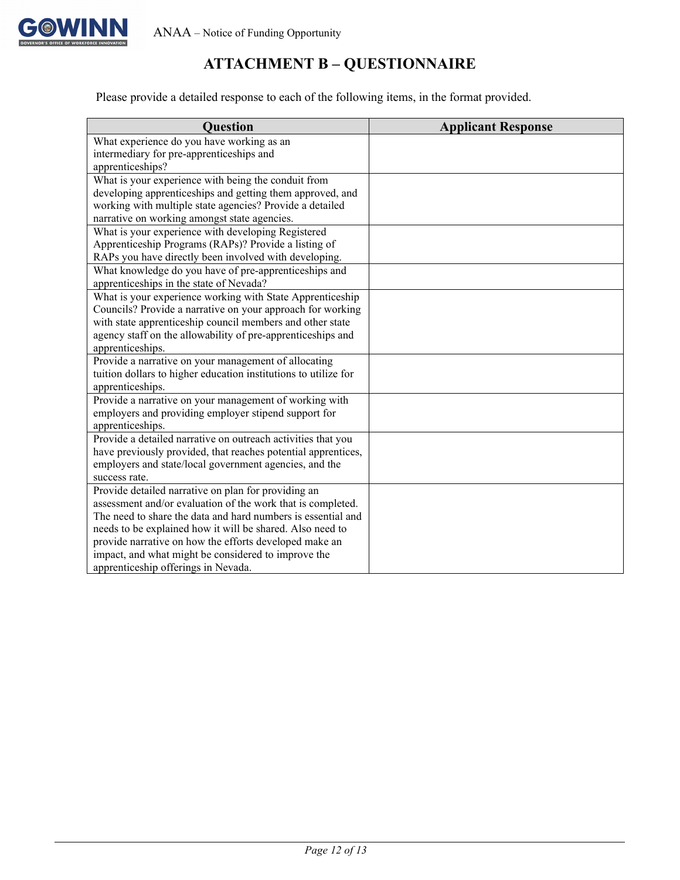

### **ATTACHMENT B – QUESTIONNAIRE**

<span id="page-11-0"></span>Please provide a detailed response to each of the following items, in the format provided.

| <b>Question</b>                                                 | <b>Applicant Response</b> |
|-----------------------------------------------------------------|---------------------------|
| What experience do you have working as an                       |                           |
| intermediary for pre-apprenticeships and                        |                           |
| apprenticeships?                                                |                           |
| What is your experience with being the conduit from             |                           |
| developing apprenticeships and getting them approved, and       |                           |
| working with multiple state agencies? Provide a detailed        |                           |
| narrative on working amongst state agencies.                    |                           |
| What is your experience with developing Registered              |                           |
| Apprenticeship Programs (RAPs)? Provide a listing of            |                           |
| RAPs you have directly been involved with developing.           |                           |
| What knowledge do you have of pre-apprenticeships and           |                           |
| apprenticeships in the state of Nevada?                         |                           |
| What is your experience working with State Apprenticeship       |                           |
| Councils? Provide a narrative on your approach for working      |                           |
| with state apprenticeship council members and other state       |                           |
| agency staff on the allowability of pre-apprenticeships and     |                           |
| apprenticeships.                                                |                           |
| Provide a narrative on your management of allocating            |                           |
| tuition dollars to higher education institutions to utilize for |                           |
| apprenticeships.                                                |                           |
| Provide a narrative on your management of working with          |                           |
| employers and providing employer stipend support for            |                           |
| apprenticeships.                                                |                           |
| Provide a detailed narrative on outreach activities that you    |                           |
| have previously provided, that reaches potential apprentices,   |                           |
| employers and state/local government agencies, and the          |                           |
| success rate.                                                   |                           |
| Provide detailed narrative on plan for providing an             |                           |
| assessment and/or evaluation of the work that is completed.     |                           |
| The need to share the data and hard numbers is essential and    |                           |
| needs to be explained how it will be shared. Also need to       |                           |
| provide narrative on how the efforts developed make an          |                           |
| impact, and what might be considered to improve the             |                           |
| apprenticeship offerings in Nevada.                             |                           |